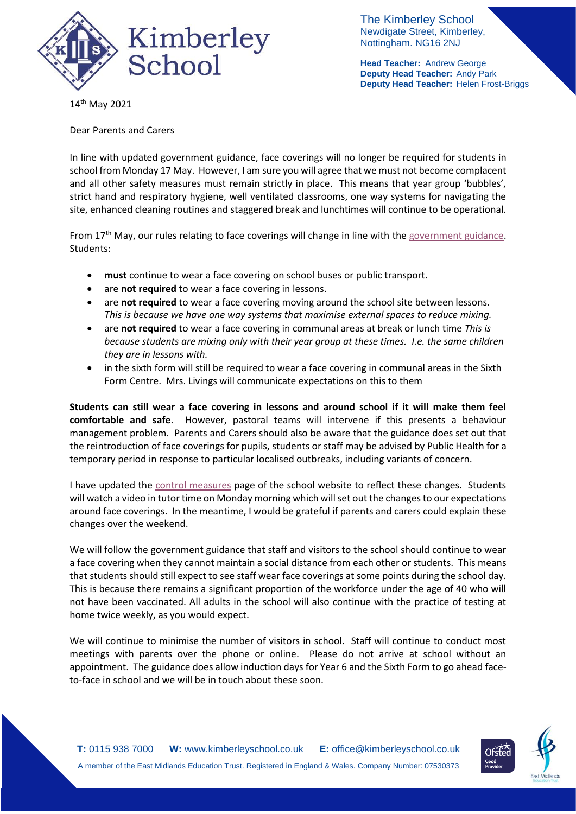

The Kimberley School Newdigate Street, Kimberley, Nottingham. NG16 2NJ

**Head Teacher:** Andrew George **Deputy Head Teacher:** Andy Park **Deputy Head Teacher:** Helen Frost-Briggs

14 th May 2021

Dear Parents and Carers

In line with updated government guidance, face coverings will no longer be required for students in school from Monday 17 May. However, I am sure you will agree that we must not become complacent and all other safety measures must remain strictly in place. This means that year group 'bubbles', strict hand and respiratory hygiene, well ventilated classrooms, one way systems for navigating the site, enhanced cleaning routines and staggered break and lunchtimes will continue to be operational.

From 17<sup>th</sup> May, our rules relating to face coverings will change in line with the [government guidance.](https://www.gov.uk/government/publications/face-coverings-in-education) Students:

- **must** continue to wear a face covering on school buses or public transport.
- **•** are **not required** to wear a face covering in lessons.
- are **not required** to wear a face covering moving around the school site between lessons. *This is because we have one way systems that maximise external spaces to reduce mixing.*
- are **not required** to wear a face covering in communal areas at break or lunch time *This is because students are mixing only with their year group at these times. I.e. the same children they are in lessons with.*
- in the sixth form will still be required to wear a face covering in communal areas in the Sixth Form Centre. Mrs. Livings will communicate expectations on this to them

**Students can still wear a face covering in lessons and around school if it will make them feel comfortable and safe**. However, pastoral teams will intervene if this presents a behaviour management problem. Parents and Carers should also be aware that the guidance does set out that the reintroduction of face coverings for pupils, students or staff may be advised by Public Health for a temporary period in response to particular localised outbreaks, including variants of concern.

I have updated the [control measures](https://www.kimberleyschool.co.uk/septemberopening) page of the school website to reflect these changes. Students will watch a video in tutor time on Monday morning which will set out the changes to our expectations around face coverings. In the meantime, I would be grateful if parents and carers could explain these changes over the weekend.

We will follow the government guidance that staff and visitors to the school should continue to wear a face covering when they cannot maintain a social distance from each other or students. This means that students should still expect to see staff wear face coverings at some points during the school day. This is because there remains a significant proportion of the workforce under the age of 40 who will not have been vaccinated. All adults in the school will also continue with the practice of testing at home twice weekly, as you would expect.

We will continue to minimise the number of visitors in school. Staff will continue to conduct most meetings with parents over the phone or online. Please do not arrive at school without an appointment. The guidance does allow induction days for Year 6 and the Sixth Form to go ahead faceto-face in school and we will be in touch about these soon.